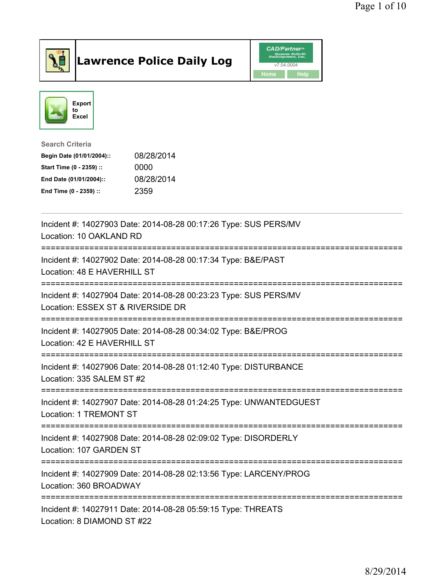

## Lawrence Police Daily Log **Daniel CAD/Partner**





Search Criteria Begin Date (01/01/2004):: 08/28/2014 Start Time (0 - 2359) :: 0000 End Date (01/01/2004):: 08/28/2014

End Time (0 - 2359) :: 2359

| Incident #: 14027903 Date: 2014-08-28 00:17:26 Type: SUS PERS/MV<br>Location: 10 OAKLAND RD                                          |
|--------------------------------------------------------------------------------------------------------------------------------------|
| Incident #: 14027902 Date: 2014-08-28 00:17:34 Type: B&E/PAST<br>Location: 48 E HAVERHILL ST<br>;=================================== |
| Incident #: 14027904 Date: 2014-08-28 00:23:23 Type: SUS PERS/MV<br>Location: ESSEX ST & RIVERSIDE DR                                |
| Incident #: 14027905 Date: 2014-08-28 00:34:02 Type: B&E/PROG<br>Location: 42 E HAVERHILL ST                                         |
| Incident #: 14027906 Date: 2014-08-28 01:12:40 Type: DISTURBANCE<br>Location: 335 SALEM ST #2                                        |
| Incident #: 14027907 Date: 2014-08-28 01:24:25 Type: UNWANTEDGUEST<br><b>Location: 1 TREMONT ST</b>                                  |
| Incident #: 14027908 Date: 2014-08-28 02:09:02 Type: DISORDERLY<br>Location: 107 GARDEN ST                                           |
| Incident #: 14027909 Date: 2014-08-28 02:13:56 Type: LARCENY/PROG<br>Location: 360 BROADWAY                                          |
| Incident #: 14027911 Date: 2014-08-28 05:59:15 Type: THREATS<br>Location: 8 DIAMOND ST #22                                           |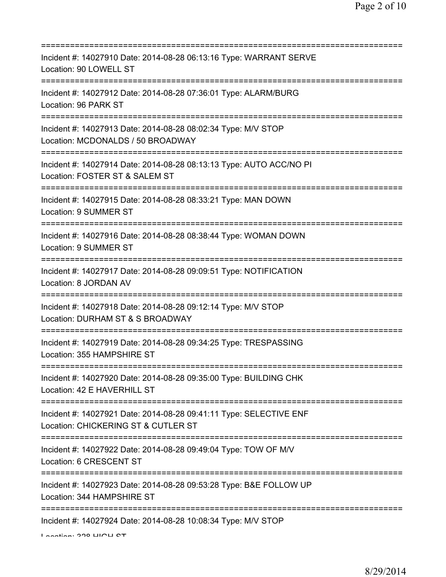| Incident #: 14027910 Date: 2014-08-28 06:13:16 Type: WARRANT SERVE<br>Location: 90 LOWELL ST                                               |
|--------------------------------------------------------------------------------------------------------------------------------------------|
| Incident #: 14027912 Date: 2014-08-28 07:36:01 Type: ALARM/BURG<br>Location: 96 PARK ST                                                    |
| Incident #: 14027913 Date: 2014-08-28 08:02:34 Type: M/V STOP<br>Location: MCDONALDS / 50 BROADWAY<br>===============================      |
| Incident #: 14027914 Date: 2014-08-28 08:13:13 Type: AUTO ACC/NO PI<br>Location: FOSTER ST & SALEM ST                                      |
| Incident #: 14027915 Date: 2014-08-28 08:33:21 Type: MAN DOWN<br>Location: 9 SUMMER ST<br>=====================================            |
| Incident #: 14027916 Date: 2014-08-28 08:38:44 Type: WOMAN DOWN<br>Location: 9 SUMMER ST                                                   |
| Incident #: 14027917 Date: 2014-08-28 09:09:51 Type: NOTIFICATION<br>Location: 8 JORDAN AV                                                 |
| Incident #: 14027918 Date: 2014-08-28 09:12:14 Type: M/V STOP<br>Location: DURHAM ST & S BROADWAY                                          |
| Incident #: 14027919 Date: 2014-08-28 09:34:25 Type: TRESPASSING<br>Location: 355 HAMPSHIRE ST                                             |
| Incident #: 14027920 Date: 2014-08-28 09:35:00 Type: BUILDING CHK<br>Location: 42 E HAVERHILL ST                                           |
| Incident #: 14027921 Date: 2014-08-28 09:41:11 Type: SELECTIVE ENF<br>Location: CHICKERING ST & CUTLER ST                                  |
| Incident #: 14027922 Date: 2014-08-28 09:49:04 Type: TOW OF M/V<br>Location: 6 CRESCENT ST                                                 |
| ======================================<br>Incident #: 14027923 Date: 2014-08-28 09:53:28 Type: B&E FOLLOW UP<br>Location: 344 HAMPSHIRE ST |
| Incident #: 14027924 Date: 2014-08-28 10:08:34 Type: M/V STOP                                                                              |

Location: 328 HIGH CT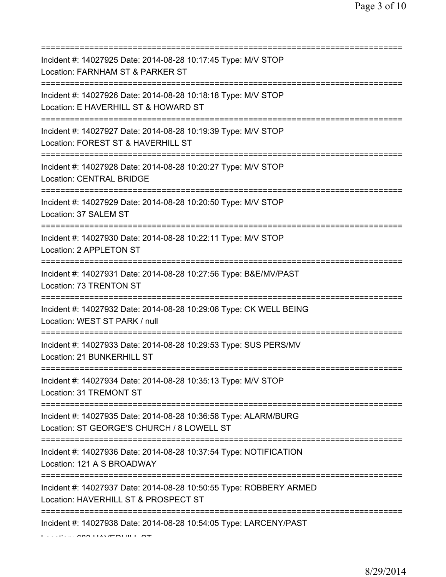| Incident #: 14027925 Date: 2014-08-28 10:17:45 Type: M/V STOP<br>Location: FARNHAM ST & PARKER ST<br>======================    |
|--------------------------------------------------------------------------------------------------------------------------------|
| Incident #: 14027926 Date: 2014-08-28 10:18:18 Type: M/V STOP<br>Location: E HAVERHILL ST & HOWARD ST                          |
| Incident #: 14027927 Date: 2014-08-28 10:19:39 Type: M/V STOP<br>Location: FOREST ST & HAVERHILL ST<br>======================  |
| Incident #: 14027928 Date: 2014-08-28 10:20:27 Type: M/V STOP<br><b>Location: CENTRAL BRIDGE</b>                               |
| Incident #: 14027929 Date: 2014-08-28 10:20:50 Type: M/V STOP<br>Location: 37 SALEM ST<br>==================================== |
| Incident #: 14027930 Date: 2014-08-28 10:22:11 Type: M/V STOP<br>Location: 2 APPLETON ST                                       |
| Incident #: 14027931 Date: 2014-08-28 10:27:56 Type: B&E/MV/PAST<br>Location: 73 TRENTON ST                                    |
| Incident #: 14027932 Date: 2014-08-28 10:29:06 Type: CK WELL BEING<br>Location: WEST ST PARK / null                            |
| Incident #: 14027933 Date: 2014-08-28 10:29:53 Type: SUS PERS/MV<br>Location: 21 BUNKERHILL ST                                 |
| Incident #: 14027934 Date: 2014-08-28 10:35:13 Type: M/V STOP<br>Location: 31 TREMONT ST                                       |
| Incident #: 14027935 Date: 2014-08-28 10:36:58 Type: ALARM/BURG<br>Location: ST GEORGE'S CHURCH / 8 LOWELL ST                  |
| Incident #: 14027936 Date: 2014-08-28 10:37:54 Type: NOTIFICATION<br>Location: 121 A S BROADWAY                                |
| Incident #: 14027937 Date: 2014-08-28 10:50:55 Type: ROBBERY ARMED<br>Location: HAVERHILL ST & PROSPECT ST                     |
| Incident #: 14027938 Date: 2014-08-28 10:54:05 Type: LARCENY/PAST<br>LEEDE AAA HAVIENHIJL AT                                   |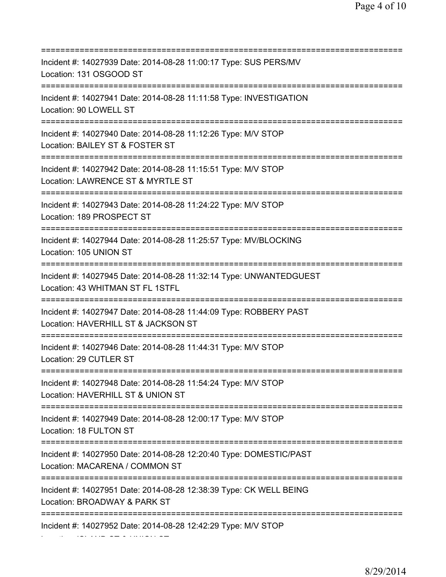=========================================================================== Incident #: 14027939 Date: 2014-08-28 11:00:17 Type: SUS PERS/MV Location: 131 OSGOOD ST =========================================================================== Incident #: 14027941 Date: 2014-08-28 11:11:58 Type: INVESTIGATION Location: 90 LOWELL ST =========================================================================== Incident #: 14027940 Date: 2014-08-28 11:12:26 Type: M/V STOP Location: BAILEY ST & FOSTER ST =========================================================================== Incident #: 14027942 Date: 2014-08-28 11:15:51 Type: M/V STOP Location: LAWRENCE ST & MYRTLE ST =========================================================================== Incident #: 14027943 Date: 2014-08-28 11:24:22 Type: M/V STOP Location: 189 PROSPECT ST =========================================================================== Incident #: 14027944 Date: 2014-08-28 11:25:57 Type: MV/BLOCKING Location: 105 UNION ST =========================================================================== Incident #: 14027945 Date: 2014-08-28 11:32:14 Type: UNWANTEDGUEST Location: 43 WHITMAN ST FL 1STFL =========================================================================== Incident #: 14027947 Date: 2014-08-28 11:44:09 Type: ROBBERY PAST Location: HAVERHILL ST & JACKSON ST =========================================================================== Incident #: 14027946 Date: 2014-08-28 11:44:31 Type: M/V STOP Location: 29 CUTLER ST =========================================================================== Incident #: 14027948 Date: 2014-08-28 11:54:24 Type: M/V STOP Location: HAVERHILL ST & UNION ST =========================================================================== Incident #: 14027949 Date: 2014-08-28 12:00:17 Type: M/V STOP Location: 18 FULTON ST =========================================================================== Incident #: 14027950 Date: 2014-08-28 12:20:40 Type: DOMESTIC/PAST Location: MACARENA / COMMON ST =========================================================================== Incident #: 14027951 Date: 2014-08-28 12:38:39 Type: CK WELL BEING Location: BROADWAY & PARK ST =========================================================================== Incident #: 14027952 Date: 2014-08-28 12:42:29 Type: M/V STOP Location: ISLAND ST & UNION ST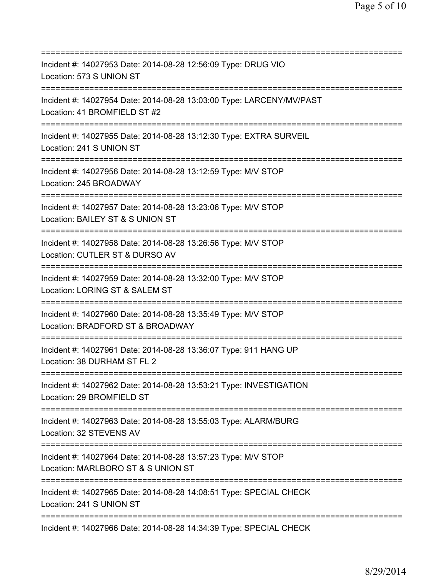| :=========================                                                                           |
|------------------------------------------------------------------------------------------------------|
| Incident #: 14027953 Date: 2014-08-28 12:56:09 Type: DRUG VIO<br>Location: 573 S UNION ST            |
| Incident #: 14027954 Date: 2014-08-28 13:03:00 Type: LARCENY/MV/PAST<br>Location: 41 BROMFIELD ST #2 |
| Incident #: 14027955 Date: 2014-08-28 13:12:30 Type: EXTRA SURVEIL<br>Location: 241 S UNION ST       |
| Incident #: 14027956 Date: 2014-08-28 13:12:59 Type: M/V STOP<br>Location: 245 BROADWAY              |
| Incident #: 14027957 Date: 2014-08-28 13:23:06 Type: M/V STOP<br>Location: BAILEY ST & S UNION ST    |
| Incident #: 14027958 Date: 2014-08-28 13:26:56 Type: M/V STOP<br>Location: CUTLER ST & DURSO AV      |
| Incident #: 14027959 Date: 2014-08-28 13:32:00 Type: M/V STOP<br>Location: LORING ST & SALEM ST      |
| Incident #: 14027960 Date: 2014-08-28 13:35:49 Type: M/V STOP<br>Location: BRADFORD ST & BROADWAY    |
| Incident #: 14027961 Date: 2014-08-28 13:36:07 Type: 911 HANG UP<br>Location: 38 DURHAM ST FL 2      |
| Incident #: 14027962 Date: 2014-08-28 13:53:21 Type: INVESTIGATION<br>Location: 29 BROMFIELD ST      |
| Incident #: 14027963 Date: 2014-08-28 13:55:03 Type: ALARM/BURG<br>Location: 32 STEVENS AV           |
| Incident #: 14027964 Date: 2014-08-28 13:57:23 Type: M/V STOP<br>Location: MARLBORO ST & S UNION ST  |
| Incident #: 14027965 Date: 2014-08-28 14:08:51 Type: SPECIAL CHECK<br>Location: 241 S UNION ST       |
| Incident #: 14027966 Date: 2014-08-28 14:34:39 Type: SPECIAL CHECK                                   |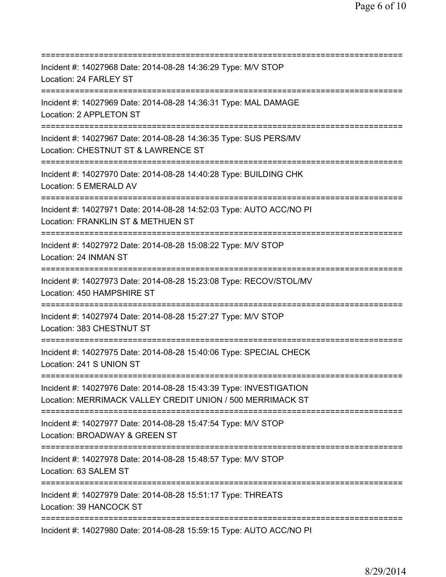=========================================================================== Incident #: 14027968 Date: 2014-08-28 14:36:29 Type: M/V STOP Location: 24 FARLEY ST =========================================================================== Incident #: 14027969 Date: 2014-08-28 14:36:31 Type: MAL DAMAGE Location: 2 APPLETON ST =========================================================================== Incident #: 14027967 Date: 2014-08-28 14:36:35 Type: SUS PERS/MV Location: CHESTNUT ST & LAWRENCE ST =========================================================================== Incident #: 14027970 Date: 2014-08-28 14:40:28 Type: BUILDING CHK Location: 5 EMERALD AV =========================================================================== Incident #: 14027971 Date: 2014-08-28 14:52:03 Type: AUTO ACC/NO PI Location: FRANKLIN ST & METHUEN ST =========================================================================== Incident #: 14027972 Date: 2014-08-28 15:08:22 Type: M/V STOP Location: 24 INMAN ST =========================================================================== Incident #: 14027973 Date: 2014-08-28 15:23:08 Type: RECOV/STOL/MV Location: 450 HAMPSHIRE ST =========================================================================== Incident #: 14027974 Date: 2014-08-28 15:27:27 Type: M/V STOP Location: 383 CHESTNUT ST =========================================================================== Incident #: 14027975 Date: 2014-08-28 15:40:06 Type: SPECIAL CHECK Location: 241 S UNION ST =========================================================================== Incident #: 14027976 Date: 2014-08-28 15:43:39 Type: INVESTIGATION Location: MERRIMACK VALLEY CREDIT UNION / 500 MERRIMACK ST =========================================================================== Incident #: 14027977 Date: 2014-08-28 15:47:54 Type: M/V STOP Location: BROADWAY & GREEN ST =========================================================================== Incident #: 14027978 Date: 2014-08-28 15:48:57 Type: M/V STOP Location: 63 SALEM ST =========================================================================== Incident #: 14027979 Date: 2014-08-28 15:51:17 Type: THREATS Location: 39 HANCOCK ST =========================================================================== Incident #: 14027980 Date: 2014-08-28 15:59:15 Type: AUTO ACC/NO PI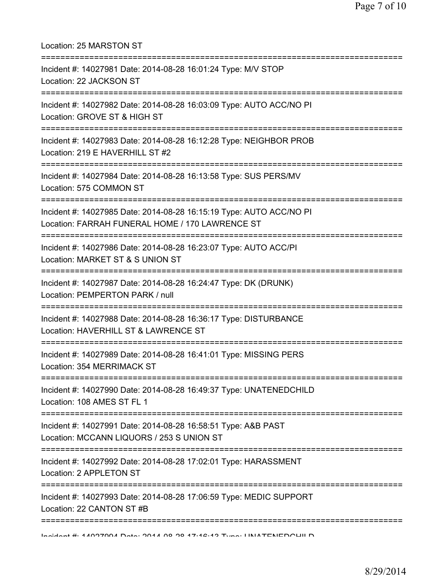| Location: 25 MARSTON ST                                                                                                                                                                      |
|----------------------------------------------------------------------------------------------------------------------------------------------------------------------------------------------|
| Incident #: 14027981 Date: 2014-08-28 16:01:24 Type: M/V STOP<br>Location: 22 JACKSON ST                                                                                                     |
| Incident #: 14027982 Date: 2014-08-28 16:03:09 Type: AUTO ACC/NO PI<br>Location: GROVE ST & HIGH ST<br>=========================                                                             |
| Incident #: 14027983 Date: 2014-08-28 16:12:28 Type: NEIGHBOR PROB<br>Location: 219 E HAVERHILL ST #2<br>======================================                                              |
| Incident #: 14027984 Date: 2014-08-28 16:13:58 Type: SUS PERS/MV<br>Location: 575 COMMON ST                                                                                                  |
| ===============================<br>Incident #: 14027985 Date: 2014-08-28 16:15:19 Type: AUTO ACC/NO PI<br>Location: FARRAH FUNERAL HOME / 170 LAWRENCE ST<br>=============================== |
| Incident #: 14027986 Date: 2014-08-28 16:23:07 Type: AUTO ACC/PI<br>Location: MARKET ST & S UNION ST                                                                                         |
| Incident #: 14027987 Date: 2014-08-28 16:24:47 Type: DK (DRUNK)<br>Location: PEMPERTON PARK / null                                                                                           |
| Incident #: 14027988 Date: 2014-08-28 16:36:17 Type: DISTURBANCE<br>Location: HAVERHILL ST & LAWRENCE ST                                                                                     |
| Incident #: 14027989 Date: 2014-08-28 16:41:01 Type: MISSING PERS<br>Location: 354 MERRIMACK ST                                                                                              |
| Incident #: 14027990 Date: 2014-08-28 16:49:37 Type: UNATENEDCHILD<br>Location: 108 AMES ST FL 1                                                                                             |
| Incident #: 14027991 Date: 2014-08-28 16:58:51 Type: A&B PAST<br>Location: MCCANN LIQUORS / 253 S UNION ST                                                                                   |
| Incident #: 14027992 Date: 2014-08-28 17:02:01 Type: HARASSMENT<br>Location: 2 APPLETON ST                                                                                                   |
| ===============<br>Incident #: 14027993 Date: 2014-08-28 17:06:59 Type: MEDIC SUPPORT<br>Location: 22 CANTON ST #B                                                                           |
| Incident # 44007004 Data 0044 00 00 47.42.49 Tune INIATENEDOUILD                                                                                                                             |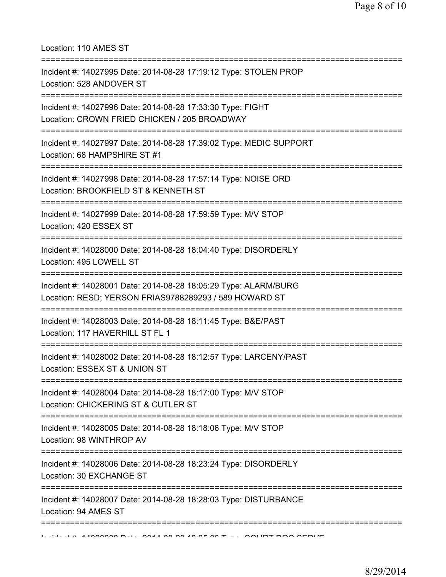Location: 110 AMES ST

| Incident #: 14027995 Date: 2014-08-28 17:19:12 Type: STOLEN PROP<br>Location: 528 ANDOVER ST                                                    |
|-------------------------------------------------------------------------------------------------------------------------------------------------|
| Incident #: 14027996 Date: 2014-08-28 17:33:30 Type: FIGHT<br>Location: CROWN FRIED CHICKEN / 205 BROADWAY                                      |
| :=============================<br>Incident #: 14027997 Date: 2014-08-28 17:39:02 Type: MEDIC SUPPORT<br>Location: 68 HAMPSHIRE ST #1            |
| Incident #: 14027998 Date: 2014-08-28 17:57:14 Type: NOISE ORD<br>Location: BROOKFIELD ST & KENNETH ST                                          |
| Incident #: 14027999 Date: 2014-08-28 17:59:59 Type: M/V STOP<br>Location: 420 ESSEX ST                                                         |
| Incident #: 14028000 Date: 2014-08-28 18:04:40 Type: DISORDERLY<br>Location: 495 LOWELL ST                                                      |
| ==================<br>Incident #: 14028001 Date: 2014-08-28 18:05:29 Type: ALARM/BURG<br>Location: RESD; YERSON FRIAS9788289293 / 589 HOWARD ST |
| Incident #: 14028003 Date: 2014-08-28 18:11:45 Type: B&E/PAST<br>Location: 117 HAVERHILL ST FL 1                                                |
| Incident #: 14028002 Date: 2014-08-28 18:12:57 Type: LARCENY/PAST<br>Location: ESSEX ST & UNION ST                                              |
| Incident #: 14028004 Date: 2014-08-28 18:17:00 Type: M/V STOP<br>Location: CHICKERING ST & CUTLER ST                                            |
| Incident #: 14028005 Date: 2014-08-28 18:18:06 Type: M/V STOP<br>Location: 98 WINTHROP AV                                                       |
| Incident #: 14028006 Date: 2014-08-28 18:23:24 Type: DISORDERLY<br>Location: 30 EXCHANGE ST                                                     |
| Incident #: 14028007 Date: 2014-08-28 18:28:03 Type: DISTURBANCE<br>Location: 94 AMES ST                                                        |
|                                                                                                                                                 |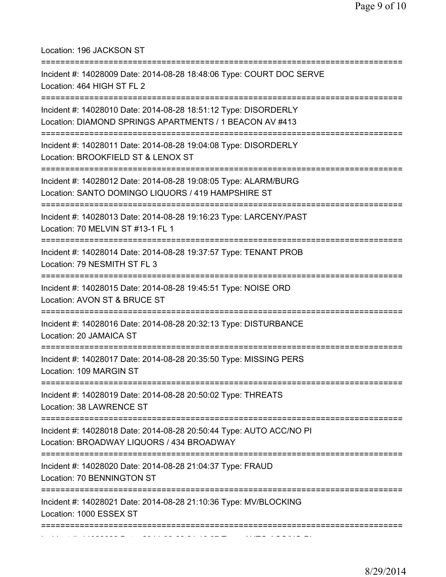Location: 196 JACKSON ST =========================================================================== Incident #: 14028009 Date: 2014-08-28 18:48:06 Type: COURT DOC SERVE Location: 464 HIGH ST FL 2 =========================================================================== Incident #: 14028010 Date: 2014-08-28 18:51:12 Type: DISORDERLY Location: DIAMOND SPRINGS APARTMENTS / 1 BEACON AV #413 =========================================================================== Incident #: 14028011 Date: 2014-08-28 19:04:08 Type: DISORDERLY Location: BROOKFIELD ST & LENOX ST =========================================================================== Incident #: 14028012 Date: 2014-08-28 19:08:05 Type: ALARM/BURG Location: SANTO DOMINGO LIQUORS / 419 HAMPSHIRE ST =========================================================================== Incident #: 14028013 Date: 2014-08-28 19:16:23 Type: LARCENY/PAST Location: 70 MELVIN ST #13-1 FL 1 =========================================================================== Incident #: 14028014 Date: 2014-08-28 19:37:57 Type: TENANT PROB Location: 79 NESMITH ST FL 3 =========================================================================== Incident #: 14028015 Date: 2014-08-28 19:45:51 Type: NOISE ORD Location: AVON ST & BRUCE ST =========================================================================== Incident #: 14028016 Date: 2014-08-28 20:32:13 Type: DISTURBANCE Location: 20 JAMAICA ST =========================================================================== Incident #: 14028017 Date: 2014-08-28 20:35:50 Type: MISSING PERS Location: 109 MARGIN ST =========================================================================== Incident #: 14028019 Date: 2014-08-28 20:50:02 Type: THREATS Location: 38 LAWRENCE ST =========================================================================== Incident #: 14028018 Date: 2014-08-28 20:50:44 Type: AUTO ACC/NO PI Location: BROADWAY LIQUORS / 434 BROADWAY =========================================================================== Incident #: 14028020 Date: 2014-08-28 21:04:37 Type: FRAUD Location: 70 BENNINGTON ST =========================================================================== Incident #: 14028021 Date: 2014-08-28 21:10:36 Type: MV/BLOCKING Location: 1000 ESSEX ST ===========================================================================

Incident #: 14028022 Date: 2014 08 28 28 21:16:27 Type: 2014 08 28 21:16:27 Type: AUTO ACC/NO.<br>.